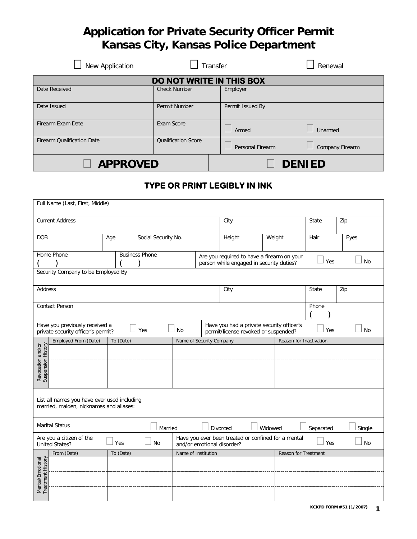# **Application for Private Security Officer Permit Kansas City, Kansas Police Department**

| New Application                   | Transfer                   |                  | Renewal         |  |  |
|-----------------------------------|----------------------------|------------------|-----------------|--|--|
|                                   | DO NOT WRITE IN THIS BOX   |                  |                 |  |  |
| Date Received                     | <b>Check Number</b>        | Employer         |                 |  |  |
| Date Issued                       | Permit Number              | Permit Issued By |                 |  |  |
| Firearm Exam Date                 | Exam Score                 | Armed            | Unarmed         |  |  |
| <b>Firearm Qualification Date</b> | <b>Qualification Score</b> | Personal Firearm | Company Firearm |  |  |
| <b>APPROVED</b>                   |                            | <b>DENIED</b>    |                 |  |  |

## **TYPE OR PRINT LEGIBLY IN INK**

|                                         | Full Name (Last, First, Middle)                                      |           |                       |           |                            |                                                                                        |         |                         |           |           |
|-----------------------------------------|----------------------------------------------------------------------|-----------|-----------------------|-----------|----------------------------|----------------------------------------------------------------------------------------|---------|-------------------------|-----------|-----------|
|                                         | <b>Current Address</b>                                               |           |                       |           |                            | City                                                                                   |         |                         | State     | Zip       |
| <b>DOB</b>                              |                                                                      | Age       | Social Security No.   |           |                            | Height                                                                                 |         | Weight                  | Hair      | Eyes      |
|                                         | Home Phone                                                           |           | <b>Business Phone</b> |           |                            | Are you required to have a firearm on your<br>person while engaged in security duties? |         |                         | Yes       | <b>No</b> |
|                                         | Security Company to be Employed By                                   |           |                       |           |                            |                                                                                        |         |                         |           |           |
| Address                                 |                                                                      |           |                       |           |                            | City                                                                                   |         |                         | State     | Zip       |
|                                         | <b>Contact Person</b>                                                |           |                       |           |                            |                                                                                        |         |                         | Phone     |           |
|                                         | Have you previously received a<br>private security officer's permit? |           | Yes                   | <b>No</b> |                            | Have you had a private security officer's<br>permit/license revoked or suspended?      |         |                         | Yes       | <b>No</b> |
|                                         | Employed From (Date)                                                 | To (Date) |                       |           | Name of Security Company   |                                                                                        |         | Reason for Inactivation |           |           |
|                                         |                                                                      |           |                       |           |                            |                                                                                        |         |                         |           |           |
|                                         |                                                                      |           |                       |           |                            |                                                                                        |         |                         |           |           |
| Revocation and/or<br>Suspension History |                                                                      |           |                       |           |                            |                                                                                        |         |                         |           |           |
|                                         | List all names you have ever used including                          |           |                       |           |                            |                                                                                        |         |                         |           |           |
|                                         | married, maiden, nicknames and aliases:                              |           |                       |           |                            |                                                                                        |         |                         |           |           |
|                                         | <b>Marital Status</b>                                                |           | Married               |           |                            | <b>Divorced</b>                                                                        | Widowed |                         | Separated | Single    |
|                                         | Are you a citizen of the<br><b>United States?</b>                    | Yes       | <b>No</b>             |           | and/or emotional disorder? | Have you ever been treated or confined for a mental                                    |         |                         | Yes       | <b>No</b> |
|                                         | From (Date)                                                          | To (Date) |                       |           | Name of Institution        |                                                                                        |         | Reason for Treatment    |           |           |
|                                         |                                                                      |           |                       |           |                            |                                                                                        |         |                         |           |           |
| Mental/Emotional<br>Treatment History   |                                                                      |           |                       |           |                            |                                                                                        |         |                         |           |           |
|                                         |                                                                      |           |                       |           |                            |                                                                                        |         |                         |           |           |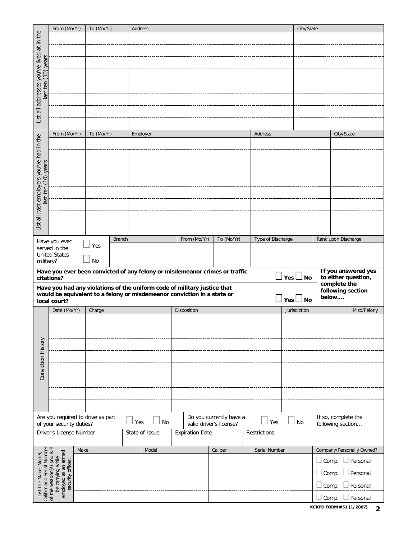|                                      | From (Mo/Yr)                                                                                                                                 | To (Mo/Yr)                        |               | Address                                                                     |                         |                         |                   | City/State    |                                          |
|--------------------------------------|----------------------------------------------------------------------------------------------------------------------------------------------|-----------------------------------|---------------|-----------------------------------------------------------------------------|-------------------------|-------------------------|-------------------|---------------|------------------------------------------|
|                                      |                                                                                                                                              |                                   |               |                                                                             |                         |                         |                   |               |                                          |
|                                      |                                                                                                                                              |                                   |               |                                                                             |                         |                         |                   |               |                                          |
|                                      |                                                                                                                                              |                                   |               |                                                                             |                         |                         |                   |               |                                          |
| $(10)$ years                         |                                                                                                                                              |                                   |               |                                                                             |                         |                         |                   |               |                                          |
|                                      |                                                                                                                                              |                                   |               |                                                                             |                         |                         |                   |               |                                          |
| last ten                             |                                                                                                                                              |                                   |               |                                                                             |                         |                         |                   |               |                                          |
|                                      |                                                                                                                                              |                                   |               |                                                                             |                         |                         |                   |               |                                          |
| all addresses you've lived at in the |                                                                                                                                              |                                   |               |                                                                             |                         |                         |                   |               |                                          |
| List                                 |                                                                                                                                              |                                   |               |                                                                             |                         |                         |                   |               |                                          |
|                                      | From (Mo/Yr)                                                                                                                                 | To (Mo/Yr)                        |               |                                                                             |                         |                         | Address           |               |                                          |
|                                      |                                                                                                                                              |                                   |               | Employer                                                                    |                         |                         |                   |               | City/State                               |
|                                      |                                                                                                                                              |                                   |               |                                                                             |                         |                         |                   |               |                                          |
|                                      |                                                                                                                                              |                                   |               |                                                                             |                         |                         |                   |               |                                          |
| $(10)$ years                         |                                                                                                                                              |                                   |               |                                                                             |                         |                         |                   |               |                                          |
|                                      |                                                                                                                                              |                                   |               |                                                                             |                         |                         |                   |               |                                          |
| last ten                             |                                                                                                                                              |                                   |               |                                                                             |                         |                         |                   |               |                                          |
| all past employers you've had in the |                                                                                                                                              |                                   |               |                                                                             |                         |                         |                   |               |                                          |
|                                      |                                                                                                                                              |                                   |               |                                                                             |                         |                         |                   |               |                                          |
| List                                 |                                                                                                                                              |                                   |               |                                                                             |                         |                         |                   |               |                                          |
|                                      |                                                                                                                                              |                                   |               |                                                                             |                         |                         |                   |               |                                          |
|                                      | Have you ever<br>served in the                                                                                                               | Yes                               | <b>Branch</b> |                                                                             | From (Mo/Yr)            | To (Mo/Yr)              | Type of Discharge |               | Rank upon Discharge                      |
|                                      | <b>United States</b>                                                                                                                         |                                   |               |                                                                             |                         |                         |                   |               |                                          |
| military?                            |                                                                                                                                              | No                                |               |                                                                             |                         |                         |                   |               | If you answered yes                      |
|                                      | citations?                                                                                                                                   |                                   |               | Have you ever been convicted of any felony or misdemeanor crimes or traffic |                         |                         |                   | Yes $\Box$ No | to either question,                      |
|                                      |                                                                                                                                              |                                   |               | Have you had any violations of the uniform code of military justice that    |                         |                         |                   |               | complete the<br>following section        |
|                                      | local court?                                                                                                                                 |                                   |               | would be equivalent to a felony or misdemeanor conviction in a state or     |                         |                         |                   | $Yes \Box No$ | below                                    |
|                                      | Date (Mo/Yr)                                                                                                                                 |                                   |               |                                                                             | Disposition             |                         |                   |               |                                          |
|                                      |                                                                                                                                              | Charge                            |               |                                                                             |                         |                         |                   | Jurisdiction  | Misd/Felony                              |
|                                      |                                                                                                                                              |                                   |               |                                                                             |                         |                         |                   |               |                                          |
|                                      |                                                                                                                                              |                                   |               |                                                                             |                         |                         |                   |               |                                          |
|                                      |                                                                                                                                              |                                   |               |                                                                             |                         |                         |                   |               |                                          |
|                                      |                                                                                                                                              |                                   |               |                                                                             |                         |                         |                   |               |                                          |
|                                      |                                                                                                                                              |                                   |               |                                                                             |                         |                         |                   |               |                                          |
|                                      |                                                                                                                                              |                                   |               |                                                                             |                         |                         |                   |               |                                          |
| Conviction History                   |                                                                                                                                              |                                   |               |                                                                             |                         |                         |                   |               |                                          |
|                                      |                                                                                                                                              |                                   |               |                                                                             |                         |                         |                   |               |                                          |
|                                      |                                                                                                                                              |                                   |               |                                                                             |                         |                         |                   |               |                                          |
|                                      |                                                                                                                                              |                                   |               |                                                                             |                         |                         |                   |               |                                          |
|                                      | of your security duties?                                                                                                                     | Are you required to drive as part |               | No<br>Yes                                                                   | valid driver's license? | Do you currently have a | Yes               | No            | If so, complete the<br>following section |
|                                      | Driver's License Number                                                                                                                      |                                   |               | State of Issue                                                              | <b>Expiration Date</b>  |                         | Restrictions      |               |                                          |
|                                      |                                                                                                                                              | Make                              |               | Model                                                                       |                         | Caliber                 | Serial Number     |               | Company/Personally Owned?                |
|                                      |                                                                                                                                              |                                   |               |                                                                             |                         |                         |                   |               | $\Box$ Comp.<br>Personal                 |
|                                      |                                                                                                                                              |                                   |               |                                                                             |                         |                         |                   |               | $\Box$ Comp.<br>Personal                 |
| List the Make, Model,                | Caliber and Serial Number<br>of the weapon(s) you will<br>employed as an armed<br>security officer.<br>be carrying while<br>of the weapon(s) |                                   |               |                                                                             |                         |                         |                   |               | $\Box$ Comp.<br>Personal                 |

**KCKPD FORM #51 (1/2007) 2**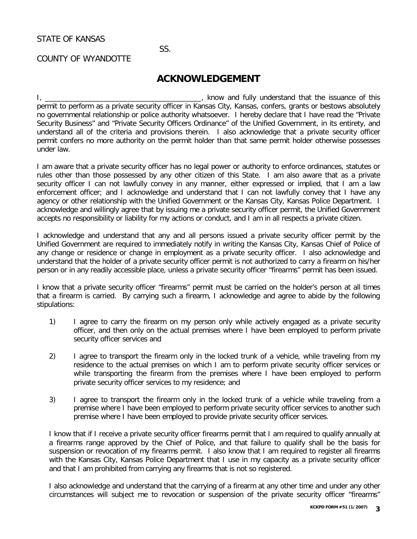STATE OF KANSAS

#### SS.

#### COUNTY OF WYANDOTTE

### **ACKNOWLEDGEMENT**

I, \_\_\_\_\_\_\_\_\_\_\_\_\_\_\_\_\_\_\_\_\_\_\_\_\_\_\_\_\_\_\_\_\_\_\_\_\_\_\_\_, know and fully understand that the issuance of this permit to perform as a private security officer in Kansas City, Kansas, confers, grants or bestows absolutely no governmental relationship or police authority whatsoever. I hereby declare that I have read the "Private Security Business" and "Private Security Officers Ordinance" of the Unified Government, in its entirety, and understand all of the criteria and provisions therein. I also acknowledge that a private security officer permit confers no more authority on the permit holder than that same permit holder otherwise possesses under law.

I am aware that a private security officer has no legal power or authority to enforce ordinances, statutes or rules other than those possessed by any other citizen of this State. I am also aware that as a private security officer I can not lawfully convey in any manner, either expressed or implied, that I am a law enforcement officer; and I acknowledge and understand that I can not lawfully convey that I have any agency or other relationship with the Unified Government or the Kansas City, Kansas Police Department. I acknowledge and willingly agree that by issuing me a private security officer permit, the Unified Government accepts no responsibility or liability for my actions or conduct, and I am in all respects a private citizen.

I acknowledge and understand that any and all persons issued a private security officer permit by the Unified Government are required to immediately notify in writing the Kansas City, Kansas Chief of Police of any change or residence or change in employment as a private security officer. I also acknowledge and understand that the holder of a private security officer permit is not authorized to carry a firearm on his/her person or in any readily accessible place, unless a private security officer "firearms" permit has been issued.

I know that a private security officer "firearms" permit must be carried on the holder's person at all times that a firearm is carried. By carrying such a firearm, I acknowledge and agree to abide by the following stipulations:

- 1) I agree to carry the firearm on my person only while actively engaged as a private security officer, and then only on the actual premises where I have been employed to perform private security officer services and
- 2) I agree to transport the firearm only in the locked trunk of a vehicle, while traveling from my residence to the actual premises on which I am to perform private security officer services or while transporting the firearm from the premises where I have been employed to perform private security officer services to my residence; and
- 3) I agree to transport the firearm only in the locked trunk of a vehicle while traveling from a premise where I have been employed to perform private security officer services to another such premise where I have been employed to provide private security officer services.

I know that if I receive a private security officer firearms permit that I am required to qualify annually at a firearms range approved by the Chief of Police, and that failure to qualify shall be the basis for suspension or revocation of my firearms permit. I also know that I am required to register all firearms with the Kansas City, Kansas Police Department that I use in my capacity as a private security officer and that I am prohibited from carrying any firearms that is not so registered.

I also acknowledge and understand that the carrying of a firearm at any other time and under any other circumstances will subject me to revocation or suspension of the private security officer "firearms"